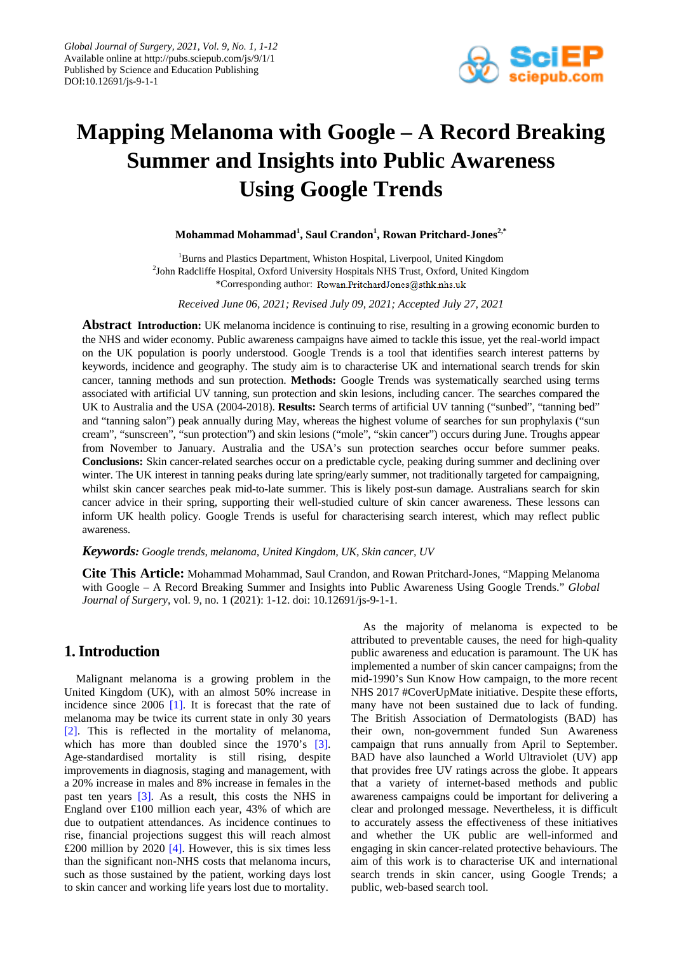

# **Mapping Melanoma with Google – A Record Breaking Summer and Insights into Public Awareness Using Google Trends**

**Mohammad Mohammad<sup>1</sup> , Saul Crandon1 , Rowan Pritchard-Jones2,\***

<sup>1</sup>Burns and Plastics Department, Whiston Hospital, Liverpool, United Kingdom <sup>2</sup>John Radcliffe Hospital, Oxford University Hospitals NHS Trust, Oxford, United Kingdom \*Corresponding author: Rowan.PritchardJones@sthk.nhs.uk

*Received June 06, 2021; Revised July 09, 2021; Accepted July 27, 2021*

**Abstract Introduction:** UK melanoma incidence is continuing to rise, resulting in a growing economic burden to the NHS and wider economy. Public awareness campaigns have aimed to tackle this issue, yet the real-world impact on the UK population is poorly understood. Google Trends is a tool that identifies search interest patterns by keywords, incidence and geography. The study aim is to characterise UK and international search trends for skin cancer, tanning methods and sun protection. **Methods:** Google Trends was systematically searched using terms associated with artificial UV tanning, sun protection and skin lesions, including cancer. The searches compared the UK to Australia and the USA (2004-2018). **Results:** Search terms of artificial UV tanning ("sunbed", "tanning bed" and "tanning salon") peak annually during May, whereas the highest volume of searches for sun prophylaxis ("sun cream", "sunscreen", "sun protection") and skin lesions ("mole", "skin cancer") occurs during June. Troughs appear from November to January. Australia and the USA's sun protection searches occur before summer peaks. **Conclusions:** Skin cancer-related searches occur on a predictable cycle, peaking during summer and declining over winter. The UK interest in tanning peaks during late spring/early summer, not traditionally targeted for campaigning, whilst skin cancer searches peak mid-to-late summer. This is likely post-sun damage. Australians search for skin cancer advice in their spring, supporting their well-studied culture of skin cancer awareness. These lessons can inform UK health policy. Google Trends is useful for characterising search interest, which may reflect public awareness.

*Keywords: Google trends, melanoma, United Kingdom, UK, Skin cancer, UV*

**Cite This Article:** Mohammad Mohammad, Saul Crandon, and Rowan Pritchard-Jones, "Mapping Melanoma with Google – A Record Breaking Summer and Insights into Public Awareness Using Google Trends." *Global Journal of Surgery*, vol. 9, no. 1 (2021): 1-12. doi: 10.12691/js-9-1-1.

## **1. Introduction**

Malignant melanoma is a growing problem in the United Kingdom (UK), with an almost 50% increase in incidence since 2006 [\[1\].](#page-6-0) It is forecast that the rate of melanoma may be twice its current state in only 30 years [\[2\].](#page-6-1) This is reflected in the mortality of melanoma, which has more than doubled since the 1970's [\[3\].](#page-6-2) Age-standardised mortality is still rising, despite improvements in diagnosis, staging and management, with a 20% increase in males and 8% increase in females in the past ten years [\[3\].](#page-6-2) As a result, this costs the NHS in England over £100 million each year, 43% of which are due to outpatient attendances. As incidence continues to rise, financial projections suggest this will reach almost £200 million by 2020  $[4]$ . However, this is six times less than the significant non-NHS costs that melanoma incurs, such as those sustained by the patient, working days lost to skin cancer and working life years lost due to mortality.

As the majority of melanoma is expected to be attributed to preventable causes, the need for high-quality public awareness and education is paramount. The UK has implemented a number of skin cancer campaigns; from the mid-1990's Sun Know How campaign, to the more recent NHS 2017 #CoverUpMate initiative. Despite these efforts, many have not been sustained due to lack of funding. The British Association of Dermatologists (BAD) has their own, non-government funded Sun Awareness campaign that runs annually from April to September. BAD have also launched a World Ultraviolet (UV) app that provides free UV ratings across the globe. It appears that a variety of internet-based methods and public awareness campaigns could be important for delivering a clear and prolonged message. Nevertheless, it is difficult to accurately assess the effectiveness of these initiatives and whether the UK public are well-informed and engaging in skin cancer-related protective behaviours. The aim of this work is to characterise UK and international search trends in skin cancer, using Google Trends; a public, web-based search tool.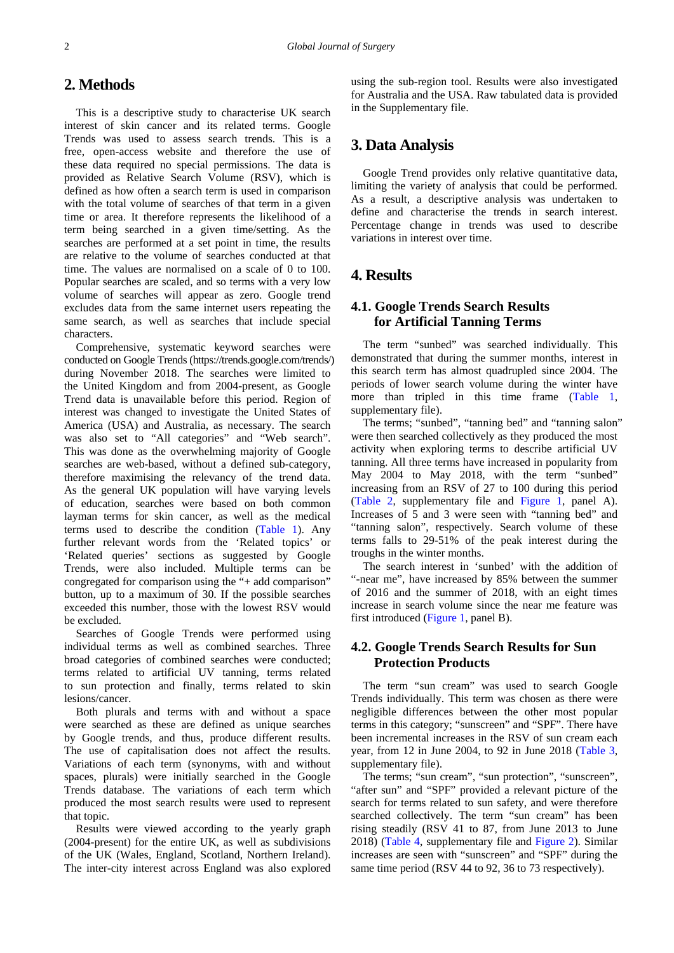## **2. Methods**

This is a descriptive study to characterise UK search interest of skin cancer and its related terms. Google Trends was used to assess search trends. This is a free, open-access website and therefore the use of these data required no special permissions. The data is provided as Relative Search Volume (RSV), which is defined as how often a search term is used in comparison with the total volume of searches of that term in a given time or area. It therefore represents the likelihood of a term being searched in a given time/setting. As the searches are performed at a set point in time, the results are relative to the volume of searches conducted at that time. The values are normalised on a scale of 0 to 100. Popular searches are scaled, and so terms with a very low volume of searches will appear as zero. Google trend excludes data from the same internet users repeating the same search, as well as searches that include special characters.

Comprehensive, systematic keyword searches were conducted on Google Trends (https://trends.google.com/trends/) during November 2018. The searches were limited to the United Kingdom and from 2004-present, as Google Trend data is unavailable before this period. Region of interest was changed to investigate the United States of America (USA) and Australia, as necessary. The search was also set to "All categories" and "Web search". This was done as the overwhelming majority of Google searches are web-based, without a defined sub-category, therefore maximising the relevancy of the trend data. As the general UK population will have varying levels of education, searches were based on both common layman terms for skin cancer, as well as the medical terms used to describe the condition [\(Table 1\)](#page-7-0). Any further relevant words from the 'Related topics' or 'Related queries' sections as suggested by Google Trends, were also included. Multiple terms can be congregated for comparison using the "+ add comparison" button, up to a maximum of 30. If the possible searches exceeded this number, those with the lowest RSV would be excluded.

Searches of Google Trends were performed using individual terms as well as combined searches. Three broad categories of combined searches were conducted; terms related to artificial UV tanning, terms related to sun protection and finally, terms related to skin lesions/cancer.

Both plurals and terms with and without a space were searched as these are defined as unique searches by Google trends, and thus, produce different results. The use of capitalisation does not affect the results. Variations of each term (synonyms, with and without spaces, plurals) were initially searched in the Google Trends database. The variations of each term which produced the most search results were used to represent that topic.

Results were viewed according to the yearly graph (2004-present) for the entire UK, as well as subdivisions of the UK (Wales, England, Scotland, Northern Ireland). The inter-city interest across England was also explored using the sub-region tool. Results were also investigated for Australia and the USA. Raw tabulated data is provided in the Supplementary file.

## **3. Data Analysis**

Google Trend provides only relative quantitative data, limiting the variety of analysis that could be performed. As a result, a descriptive analysis was undertaken to define and characterise the trends in search interest. Percentage change in trends was used to describe variations in interest over time.

## **4. Results**

## **4.1. Google Trends Search Results for Artificial Tanning Terms**

The term "sunbed" was searched individually. This demonstrated that during the summer months, interest in this search term has almost quadrupled since 2004. The periods of lower search volume during the winter have more than tripled in this time frame [\(Table 1,](#page-7-0) supplementary file).

The terms; "sunbed", "tanning bed" and "tanning salon" were then searched collectively as they produced the most activity when exploring terms to describe artificial UV tanning. All three terms have increased in popularity from May 2004 to May 2018, with the term "sunbed" increasing from an RSV of 27 to 100 during this period [\(Table 2,](#page-7-1) supplementary file and [Figure 1,](#page-2-0) panel A). Increases of 5 and 3 were seen with "tanning bed" and "tanning salon", respectively. Search volume of these terms falls to 29-51% of the peak interest during the troughs in the winter months.

The search interest in 'sunbed' with the addition of "-near me", have increased by 85% between the summer of 2016 and the summer of 2018, with an eight times increase in search volume since the near me feature was first introduced [\(Figure 1,](#page-2-0) panel B).

## **4.2. Google Trends Search Results for Sun Protection Products**

The term "sun cream" was used to search Google Trends individually. This term was chosen as there were negligible differences between the other most popular terms in this category; "sunscreen" and "SPF". There have been incremental increases in the RSV of sun cream each year, from 12 in June 2004, to 92 in June 2018 [\(Table 3,](#page-8-0) supplementary file).

The terms; "sun cream", "sun protection", "sunscreen", "after sun" and "SPF" provided a relevant picture of the search for terms related to sun safety, and were therefore searched collectively. The term "sun cream" has been rising steadily (RSV 41 to 87, from June 2013 to June 2018) [\(Table 4,](#page-8-1) supplementary file and [Figure 2\)](#page-2-1). Similar increases are seen with "sunscreen" and "SPF" during the same time period (RSV 44 to 92, 36 to 73 respectively).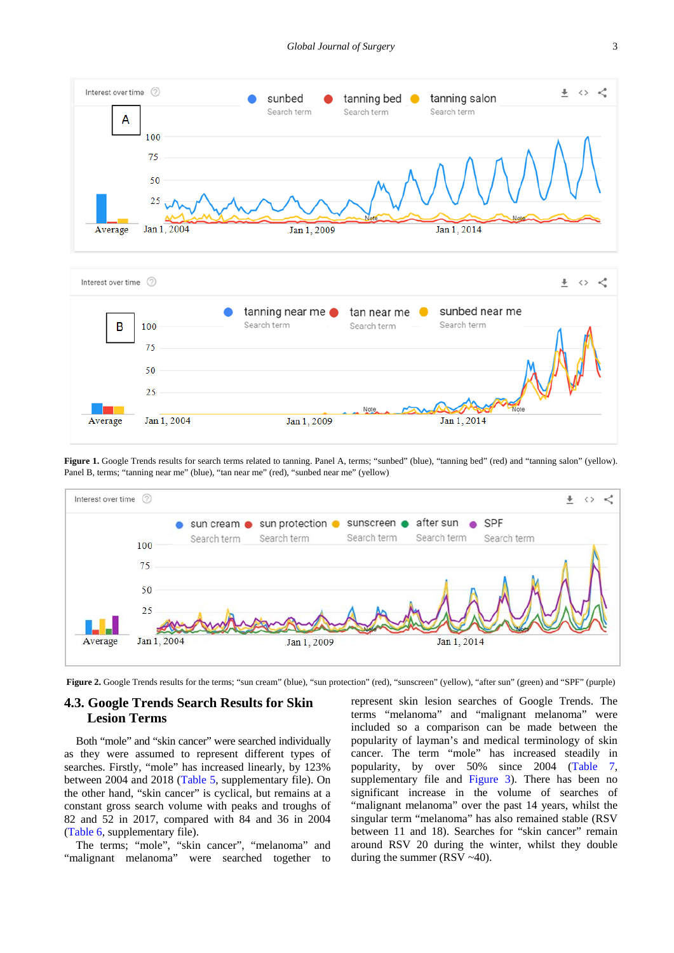<span id="page-2-0"></span>



**Figure 1.** Google Trends results for search terms related to tanning. Panel A, terms; "sunbed" (blue), "tanning bed" (red) and "tanning salon" (yellow). Panel B, terms; "tanning near me" (blue), "tan near me" (red), "sunbed near me" (yellow)

<span id="page-2-1"></span>

Figure 2. Google Trends results for the terms; "sun cream" (blue), "sun protection" (red), "sunscreen" (yellow), "after sun" (green) and "SPF" (purple)

## **4.3. Google Trends Search Results for Skin Lesion Terms**

Both "mole" and "skin cancer" were searched individually as they were assumed to represent different types of searches. Firstly, "mole" has increased linearly, by 123% between 2004 and 2018 [\(Table 5,](#page-9-0) supplementary file). On the other hand, "skin cancer" is cyclical, but remains at a constant gross search volume with peaks and troughs of 82 and 52 in 2017, compared with 84 and 36 in 2004 [\(Table 6,](#page-9-1) supplementary file).

The terms; "mole", "skin cancer", "melanoma" and "malignant melanoma" were searched together to

represent skin lesion searches of Google Trends. The terms "melanoma" and "malignant melanoma" were included so a comparison can be made between the popularity of layman's and medical terminology of skin cancer. The term "mole" has increased steadily in popularity, by over 50% since 2004 [\(Table 7,](#page-10-0) supplementary file and [Figure 3\)](#page-3-0). There has been no significant increase in the volume of searches of "malignant melanoma" over the past 14 years, whilst the singular term "melanoma" has also remained stable (RSV between 11 and 18). Searches for "skin cancer" remain around RSV 20 during the winter, whilst they double during the summer (RSV ~40).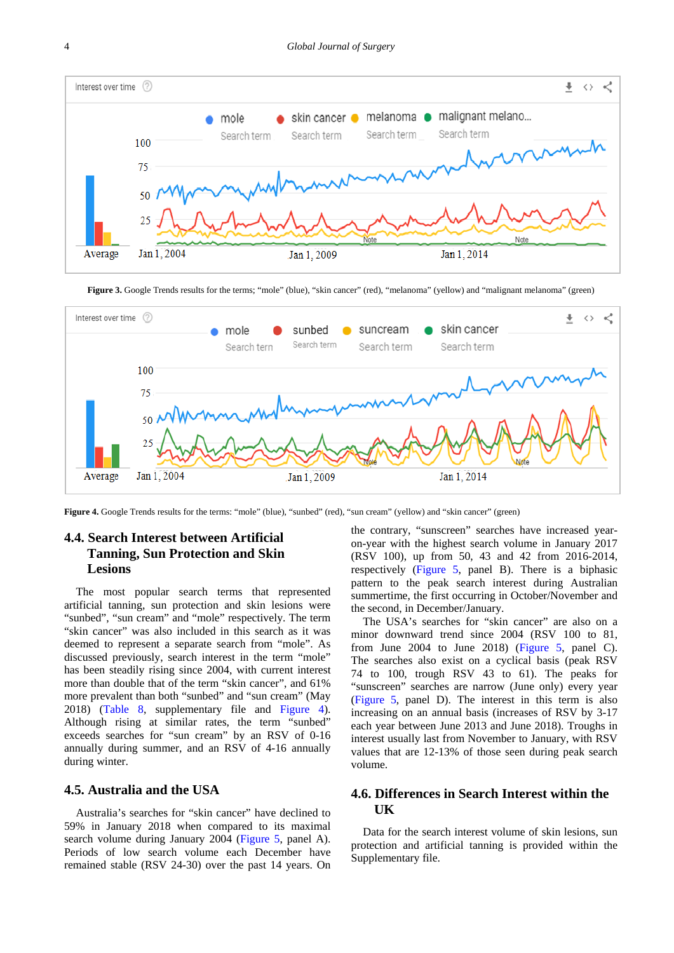<span id="page-3-0"></span>

Figure 3. Google Trends results for the terms; "mole" (blue), "skin cancer" (red), "melanoma" (yellow) and "malignant melanoma" (green)

<span id="page-3-1"></span>

**Figure 4.** Google Trends results for the terms: "mole" (blue), "sunbed" (red), "sun cream" (yellow) and "skin cancer" (green)

## **4.4. Search Interest between Artificial Tanning, Sun Protection and Skin Lesions**

The most popular search terms that represented artificial tanning, sun protection and skin lesions were "sunbed", "sun cream" and "mole" respectively. The term "skin cancer" was also included in this search as it was deemed to represent a separate search from "mole". As discussed previously, search interest in the term "mole" has been steadily rising since 2004, with current interest more than double that of the term "skin cancer", and 61% more prevalent than both "sunbed" and "sun cream" (May 2018) [\(Table 8,](#page-10-1) supplementary file and [Figure 4\)](#page-3-1). Although rising at similar rates, the term "sunbed" exceeds searches for "sun cream" by an RSV of 0-16 annually during summer, and an RSV of 4-16 annually during winter.

#### **4.5. Australia and the USA**

Australia's searches for "skin cancer" have declined to 59% in January 2018 when compared to its maximal search volume during January 2004 [\(Figure 5,](#page-4-0) panel A). Periods of low search volume each December have remained stable (RSV 24-30) over the past 14 years. On the contrary, "sunscreen" searches have increased yearon-year with the highest search volume in January 2017 (RSV 100), up from 50, 43 and 42 from 2016-2014, respectively [\(Figure 5,](#page-4-0) panel B). There is a biphasic pattern to the peak search interest during Australian summertime, the first occurring in October/November and the second, in December/January.

The USA's searches for "skin cancer" are also on a minor downward trend since 2004 (RSV 100 to 81, from June  $2004$  to June  $2018$ ) [\(Figure 5,](#page-4-0) panel C). The searches also exist on a cyclical basis (peak RSV 74 to 100, trough RSV 43 to 61). The peaks for "sunscreen" searches are narrow (June only) every year [\(Figure 5,](#page-4-0) panel D). The interest in this term is also increasing on an annual basis (increases of RSV by 3-17 each year between June 2013 and June 2018). Troughs in interest usually last from November to January, with RSV values that are 12-13% of those seen during peak search volume.

## **4.6. Differences in Search Interest within the UK**

Data for the search interest volume of skin lesions, sun protection and artificial tanning is provided within the Supplementary file.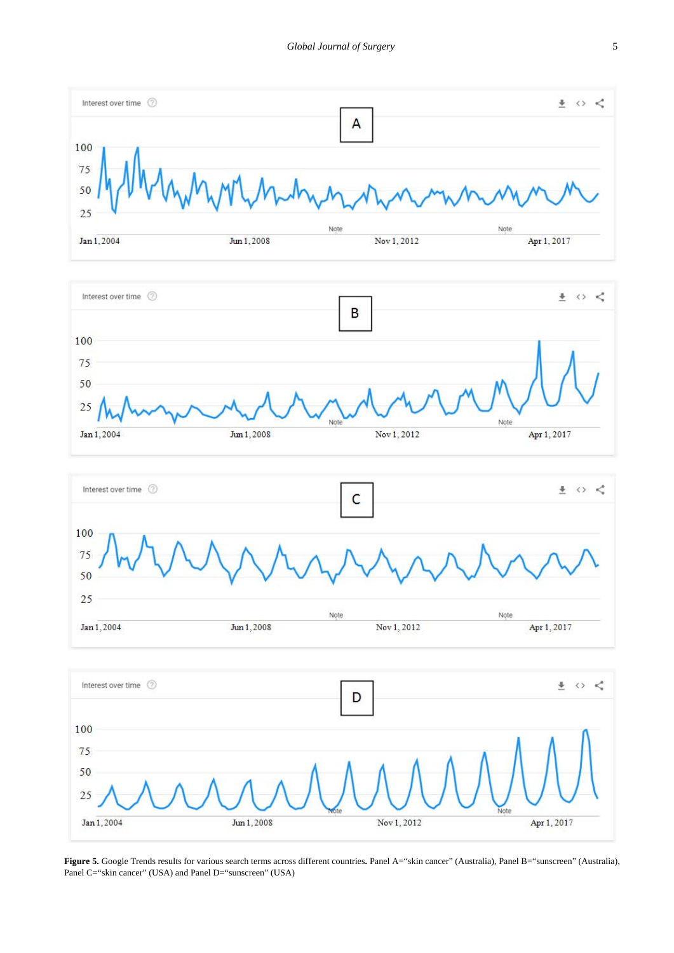<span id="page-4-0"></span>







**Figure 5.** Google Trends results for various search terms across different countries**.** Panel A="skin cancer" (Australia), Panel B="sunscreen" (Australia), Panel C="skin cancer" (USA) and Panel D="sunscreen" (USA)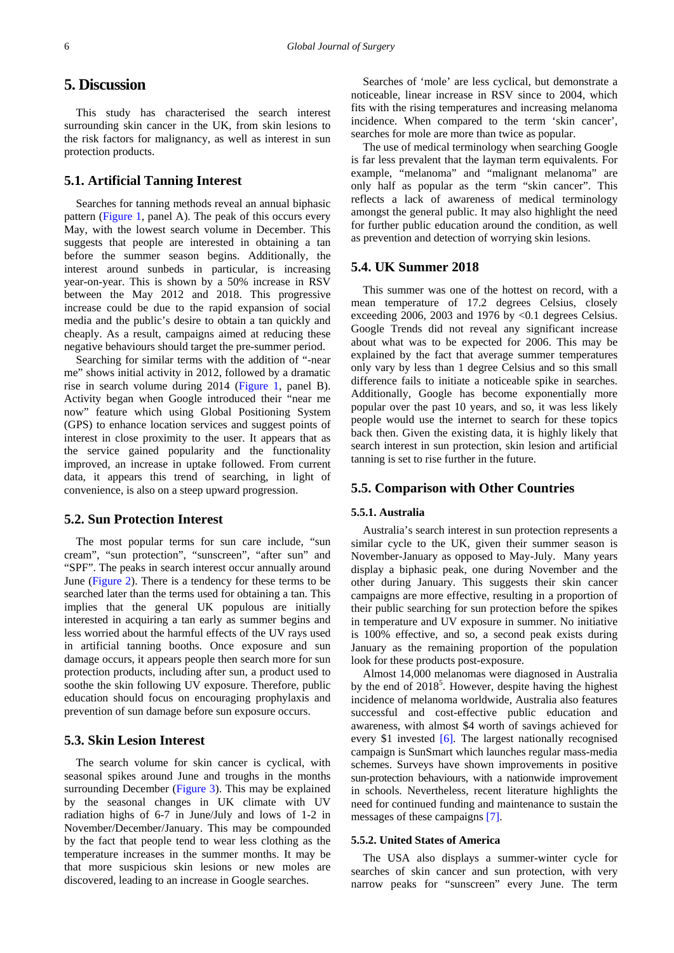## **5. Discussion**

This study has characterised the search interest surrounding skin cancer in the UK, from skin lesions to the risk factors for malignancy, as well as interest in sun protection products.

#### **5.1. Artificial Tanning Interest**

Searches for tanning methods reveal an annual biphasic pattern [\(Figure 1,](#page-2-0) panel A). The peak of this occurs every May, with the lowest search volume in December. This suggests that people are interested in obtaining a tan before the summer season begins. Additionally, the interest around sunbeds in particular, is increasing year-on-year. This is shown by a 50% increase in RSV between the May 2012 and 2018. This progressive increase could be due to the rapid expansion of social media and the public's desire to obtain a tan quickly and cheaply. As a result, campaigns aimed at reducing these negative behaviours should target the pre-summer period.

Searching for similar terms with the addition of "-near me" shows initial activity in 2012, followed by a dramatic rise in search volume during 2014 [\(Figure 1,](#page-2-0) panel B). Activity began when Google introduced their "near me now" feature which using Global Positioning System (GPS) to enhance location services and suggest points of interest in close proximity to the user. It appears that as the service gained popularity and the functionality improved, an increase in uptake followed. From current data, it appears this trend of searching, in light of convenience, is also on a steep upward progression.

#### **5.2. Sun Protection Interest**

The most popular terms for sun care include, "sun cream", "sun protection", "sunscreen", "after sun" and "SPF". The peaks in search interest occur annually around June [\(Figure 2\)](#page-2-1). There is a tendency for these terms to be searched later than the terms used for obtaining a tan. This implies that the general UK populous are initially interested in acquiring a tan early as summer begins and less worried about the harmful effects of the UV rays used in artificial tanning booths. Once exposure and sun damage occurs, it appears people then search more for sun protection products, including after sun, a product used to soothe the skin following UV exposure. Therefore, public education should focus on encouraging prophylaxis and prevention of sun damage before sun exposure occurs.

#### **5.3. Skin Lesion Interest**

The search volume for skin cancer is cyclical, with seasonal spikes around June and troughs in the months surrounding December [\(Figure 3\)](#page-3-0). This may be explained by the seasonal changes in UK climate with UV radiation highs of 6-7 in June/July and lows of 1-2 in November/December/January. This may be compounded by the fact that people tend to wear less clothing as the temperature increases in the summer months. It may be that more suspicious skin lesions or new moles are discovered, leading to an increase in Google searches.

Searches of 'mole' are less cyclical, but demonstrate a noticeable, linear increase in RSV since to 2004, which fits with the rising temperatures and increasing melanoma incidence. When compared to the term 'skin cancer', searches for mole are more than twice as popular.

The use of medical terminology when searching Google is far less prevalent that the layman term equivalents. For example, "melanoma" and "malignant melanoma" are only half as popular as the term "skin cancer". This reflects a lack of awareness of medical terminology amongst the general public. It may also highlight the need for further public education around the condition, as well as prevention and detection of worrying skin lesions.

#### **5.4. UK Summer 2018**

This summer was one of the hottest on record, with a mean temperature of 17.2 degrees Celsius, closely exceeding 2006, 2003 and 1976 by <0.1 degrees Celsius. Google Trends did not reveal any significant increase about what was to be expected for 2006. This may be explained by the fact that average summer temperatures only vary by less than 1 degree Celsius and so this small difference fails to initiate a noticeable spike in searches. Additionally, Google has become exponentially more popular over the past 10 years, and so, it was less likely people would use the internet to search for these topics back then. Given the existing data, it is highly likely that search interest in sun protection, skin lesion and artificial tanning is set to rise further in the future.

#### **5.5. Comparison with Other Countries**

#### **5.5.1. Australia**

Australia's search interest in sun protection represents a similar cycle to the UK, given their summer season is November-January as opposed to May-July. Many years display a biphasic peak, one during November and the other during January. This suggests their skin cancer campaigns are more effective, resulting in a proportion of their public searching for sun protection before the spikes in temperature and UV exposure in summer. No initiative is 100% effective, and so, a second peak exists during January as the remaining proportion of the population look for these products post-exposure.

Almost 14,000 melanomas were diagnosed in Australia by the end of  $2018<sup>5</sup>$ . However, despite having the highest incidence of melanoma worldwide, Australia also features successful and cost-effective public education and awareness, with almost \$4 worth of savings achieved for every \$1 invested [\[6\].](#page-6-4) The largest nationally recognised campaign is SunSmart which launches regular mass-media schemes. Surveys have shown improvements in positive sun-protection behaviours, with a nationwide improvement in schools. Nevertheless, recent literature highlights the need for continued funding and maintenance to sustain the messages of these campaigns [\[7\].](#page-6-5) 

#### **5.5.2. United States of America**

The USA also displays a summer-winter cycle for searches of skin cancer and sun protection, with very narrow peaks for "sunscreen" every June. The term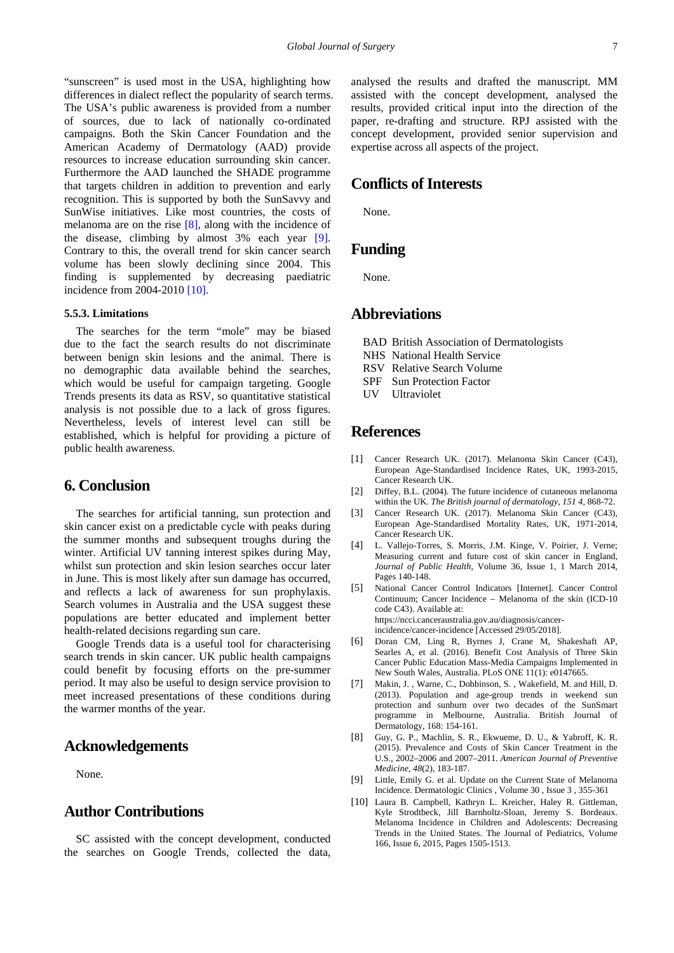"sunscreen" is used most in the USA, highlighting how differences in dialect reflect the popularity of search terms. The USA's public awareness is provided from a number of sources, due to lack of nationally co-ordinated campaigns. Both the Skin Cancer Foundation and the American Academy of Dermatology (AAD) provide resources to increase education surrounding skin cancer. Furthermore the AAD launched the SHADE programme that targets children in addition to prevention and early recognition. This is supported by both the SunSavvy and SunWise initiatives. Like most countries, the costs of melanoma are on the rise [\[8\],](#page-6-6) along with the incidence of the disease, climbing by almost 3% each year [\[9\].](#page-6-7) Contrary to this, the overall trend for skin cancer search volume has been slowly declining since 2004. This finding is supplemented by decreasing paediatric incidence from 2004-2010 [\[10\].](#page-6-8)

#### **5.5.3. Limitations**

The searches for the term "mole" may be biased due to the fact the search results do not discriminate between benign skin lesions and the animal. There is no demographic data available behind the searches, which would be useful for campaign targeting. Google Trends presents its data as RSV, so quantitative statistical analysis is not possible due to a lack of gross figures. Nevertheless, levels of interest level can still be established, which is helpful for providing a picture of public health awareness.

#### **6. Conclusion**

The searches for artificial tanning, sun protection and skin cancer exist on a predictable cycle with peaks during the summer months and subsequent troughs during the winter. Artificial UV tanning interest spikes during May, whilst sun protection and skin lesion searches occur later in June. This is most likely after sun damage has occurred, and reflects a lack of awareness for sun prophylaxis. Search volumes in Australia and the USA suggest these populations are better educated and implement better health-related decisions regarding sun care.

Google Trends data is a useful tool for characterising search trends in skin cancer. UK public health campaigns could benefit by focusing efforts on the pre-summer period. It may also be useful to design service provision to meet increased presentations of these conditions during the warmer months of the year.

#### **Acknowledgements**

None.

## **Author Contributions**

SC assisted with the concept development, conducted the searches on Google Trends, collected the data,

analysed the results and drafted the manuscript. MM assisted with the concept development, analysed the results, provided critical input into the direction of the paper, re-drafting and structure. RPJ assisted with the concept development, provided senior supervision and expertise across all aspects of the project.

## **Conflicts of Interests**

None.

## **Funding**

None.

## **Abbreviations**

- BAD British Association of Dermatologists
- NHS National Health Service
- RSV Relative Search Volume
- SPF Sun Protection Factor
- UV Ultraviolet

## **References**

- <span id="page-6-0"></span>[1] Cancer Research UK. (2017). Melanoma Skin Cancer (C43), European Age-Standardised Incidence Rates, UK, 1993-2015, Cancer Research UK.
- <span id="page-6-1"></span>[2] Diffey, B.L. (2004). The future incidence of cutaneous melanoma within the UK. *The British journal of dermatology, 151 4,* 868-72.
- <span id="page-6-2"></span>[3] Cancer Research UK. (2017). Melanoma Skin Cancer (C43), European Age-Standardised Mortality Rates, UK, 1971-2014, Cancer Research UK.
- <span id="page-6-3"></span>[4] L. Vallejo-Torres, S. Morris, J.M. Kinge, V. Poirier, J. Verne; Measuring current and future cost of skin cancer in England, *Journal of Public Health,* Volume 36, Issue 1, 1 March 2014, Pages 140-148.
- [5] National Cancer Control Indicators [Internet]. Cancer Control Continuum; Cancer Incidence – Melanoma of the skin (ICD-10 code C43). Available at: https://ncci.canceraustralia.gov.au/diagnosis/cancerincidence/cancer-incidence [Accessed 29/05/2018].
- <span id="page-6-4"></span>[6] Doran CM, Ling R, Byrnes J, Crane M, Shakeshaft AP, Searles A, et al. (2016). Benefit Cost Analysis of Three Skin Cancer Public Education Mass-Media Campaigns Implemented in New South Wales, Australia. PLoS ONE 11(1): e0147665.
- <span id="page-6-5"></span>[7] Makin, J., Warne, C., Dobbinson, S., Wakefield, M. and Hill, D. (2013). Population and age-group trends in weekend sun protection and sunburn over two decades of the SunSmart programme in Melbourne, Australia. British Journal of Dermatology, 168: 154-161.
- <span id="page-6-6"></span>[8] Guy, G. P., Machlin, S. R., Ekwueme, D. U., & Yabroff, K. R. (2015). Prevalence and Costs of Skin Cancer Treatment in the U.S., 2002–2006 and 2007–2011. *American Journal of Preventive Medicine*, *48*(2), 183-187.
- <span id="page-6-7"></span>[9] Little, Emily G. et al. Update on the Current State of Melanoma Incidence. Dermatologic Clinics , Volume 30 , Issue 3 , 355-361
- <span id="page-6-8"></span>[10] Laura B. Campbell, Kathryn L. Kreicher, Haley R. Gittleman, Kyle Strodtbeck, Jill Barnholtz-Sloan, Jeremy S. Bordeaux. Melanoma Incidence in Children and Adolescents: Decreasing Trends in the United States. The Journal of Pediatrics, Volume 166, Issue 6, 2015, Pages 1505-1513.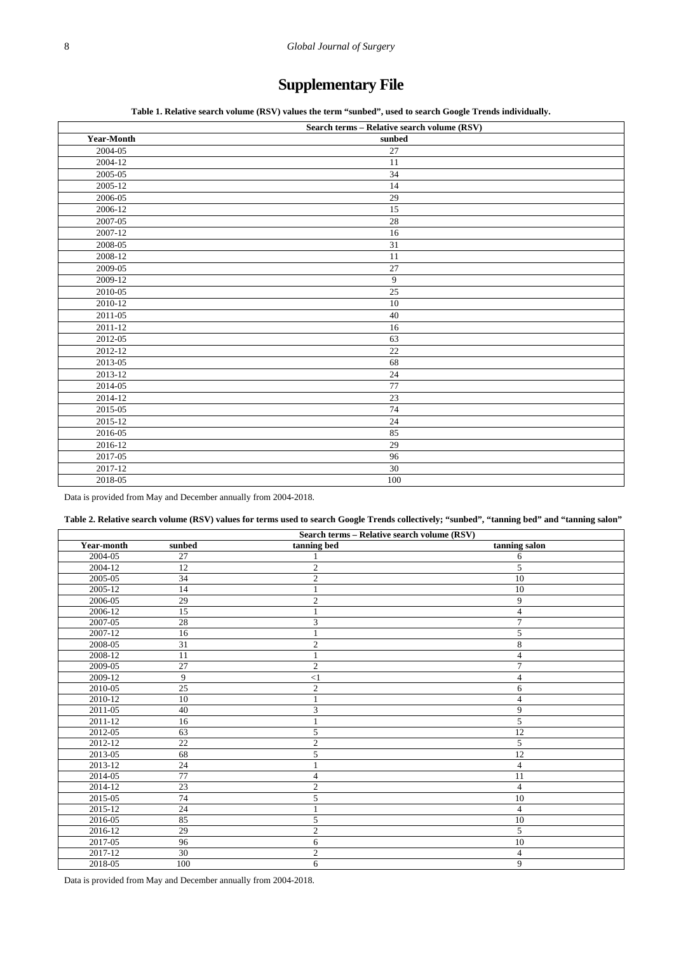## **Supplementary File**

**Table 1. Relative search volume (RSV) values the term "sunbed", used to search Google Trends individually.**

<span id="page-7-0"></span>

|                   | Search terms - Relative search volume (RSV) |
|-------------------|---------------------------------------------|
| <b>Year-Month</b> | sunbed                                      |
| 2004-05           | 27                                          |
| 2004-12           | 11                                          |
| 2005-05           | 34                                          |
| $2005 - 12$       | 14                                          |
| 2006-05           | 29                                          |
| 2006-12           | 15                                          |
| 2007-05           | 28                                          |
| 2007-12           | 16                                          |
| $2008 - 05$       | 31                                          |
| 2008-12           | 11                                          |
| 2009-05           | 27                                          |
| 2009-12           | $\overline{9}$                              |
| 2010-05           | 25                                          |
| 2010-12           | 10                                          |
| 2011-05           | 40                                          |
| $2011 - 12$       | 16                                          |
| 2012-05           | 63                                          |
| 2012-12           | 22                                          |
| $2013 - 05$       | 68                                          |
| 2013-12           | 24                                          |
| 2014-05           | 77                                          |
| 2014-12           | 23                                          |
| 2015-05           | 74                                          |
| 2015-12           | 24                                          |
| 2016-05           | 85                                          |
| 2016-12           | 29                                          |
| 2017-05           | 96                                          |
| 2017-12           | $30\,$                                      |
| 2018-05           | 100                                         |

Data is provided from May and December annually from 2004-2018.

#### **Table 2. Relative search volume (RSV) values for terms used to search Google Trends collectively; "sunbed", "tanning bed" and "tanning salon"**

<span id="page-7-1"></span>

|             |        | Search terms - Relative search volume (RSV) |                 |
|-------------|--------|---------------------------------------------|-----------------|
| Year-month  | sunbed | tanning bed                                 | tanning salon   |
| 2004-05     | 27     |                                             | 6               |
| 2004-12     | 12     | $\overline{c}$                              | 5               |
| 2005-05     | 34     | $\overline{c}$                              | 10              |
| 2005-12     | 14     |                                             | 10              |
| $2006 - 05$ | 29     | $\mathfrak{2}$                              | 9               |
| 2006-12     | 15     |                                             | $\overline{4}$  |
| 2007-05     | 28     | 3                                           | $\overline{7}$  |
| 2007-12     | 16     |                                             | 5               |
| 2008-05     | 31     | $\mathfrak{2}$                              | 8               |
| 2008-12     | 11     |                                             | 4               |
| 2009-05     | 27     | $\mathbf{2}$                                | 7               |
| 2009-12     | 9      | <1                                          | $\overline{4}$  |
| 2010-05     | 25     | $\mathfrak{2}$                              | 6               |
| 2010-12     | 10     |                                             | 4               |
| 2011-05     | 40     | 3                                           | 9               |
| 2011-12     | 16     |                                             | 5               |
| 2012-05     | 63     | 5                                           | $\overline{12}$ |
| $2012 - 12$ | 22     | $\mathfrak{2}$                              | 5               |
| 2013-05     | 68     | 5                                           | 12              |
| 2013-12     | 24     |                                             | $\overline{4}$  |
| 2014-05     | 77     | $\overline{4}$                              | 11              |
| 2014-12     | 23     | $\mathfrak{2}$                              | $\overline{4}$  |
| 2015-05     | 74     | 5                                           | 10              |
| 2015-12     | 24     |                                             | $\overline{4}$  |
| 2016-05     | 85     | 5                                           | 10              |
| 2016-12     | 29     | $\overline{c}$                              | 5               |
| 2017-05     | 96     | 6                                           | 10              |
| 2017-12     | 30     | $\boldsymbol{2}$                            | $\overline{4}$  |
| 2018-05     | 100    | 6                                           | 9               |

Data is provided from May and December annually from 2004-2018.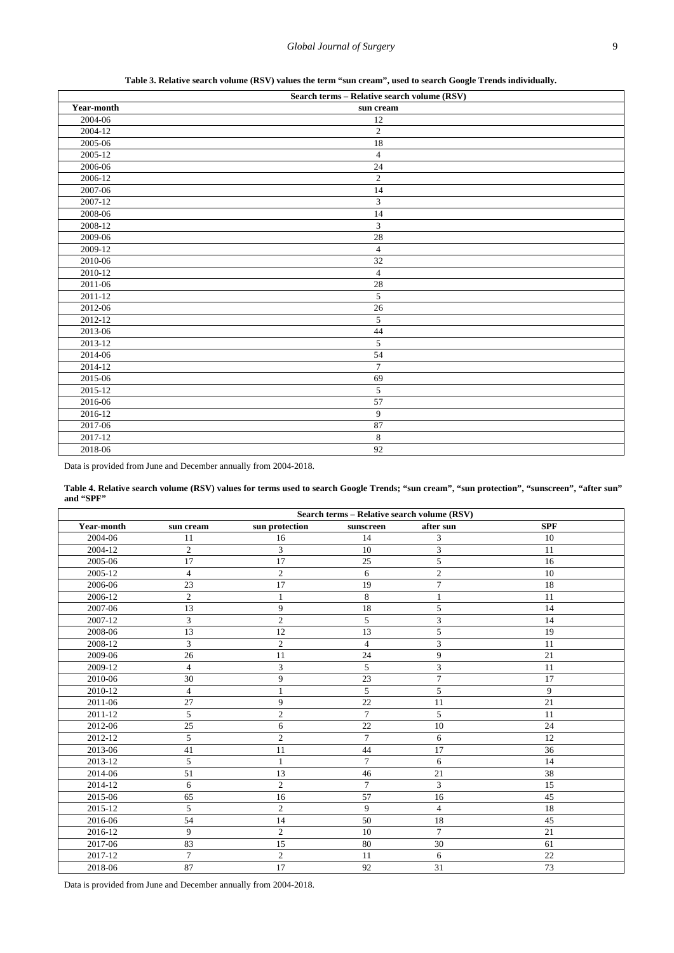**Table 3. Relative search volume (RSV) values the term "sun cream", used to search Google Trends individually.**

<span id="page-8-0"></span>

|             | Search terms - Relative search volume (RSV) |  |
|-------------|---------------------------------------------|--|
| Year-month  | sun cream                                   |  |
| 2004-06     | 12                                          |  |
| 2004-12     | $\overline{2}$                              |  |
| 2005-06     | 18                                          |  |
| 2005-12     | $\sqrt{4}$                                  |  |
| 2006-06     | $\overline{24}$                             |  |
| 2006-12     | $\overline{2}$                              |  |
| 2007-06     | 14                                          |  |
| 2007-12     | 3                                           |  |
| 2008-06     | 14                                          |  |
| 2008-12     | $\overline{3}$                              |  |
| 2009-06     | 28                                          |  |
| 2009-12     | $\overline{4}$                              |  |
| 2010-06     | 32                                          |  |
| $2010 - 12$ | $\sqrt{4}$                                  |  |
| 2011-06     | $\overline{28}$                             |  |
| 2011-12     | $\overline{5}$                              |  |
| 2012-06     | $26\,$                                      |  |
| 2012-12     | $\overline{5}$                              |  |
| 2013-06     | 44                                          |  |
| 2013-12     | $\overline{5}$                              |  |
| 2014-06     | 54                                          |  |
| 2014-12     | $\boldsymbol{7}$                            |  |
| 2015-06     | 69                                          |  |
| 2015-12     | 5                                           |  |
| 2016-06     | $\overline{57}$                             |  |
| 2016-12     | $\overline{9}$                              |  |
| 2017-06     | 87                                          |  |
| 2017-12     | $\sqrt{8}$                                  |  |
| 2018-06     | 92                                          |  |

Data is provided from June and December annually from 2004-2018.

**Table 4. Relative search volume (RSV) values for terms used to search Google Trends; "sun cream", "sun protection", "sunscreen", "after sun" and "SPF"**

<span id="page-8-1"></span>

|            | Search terms - Relative search volume (RSV) |                |                |                 |            |
|------------|---------------------------------------------|----------------|----------------|-----------------|------------|
| Year-month | sun cream                                   | sun protection | sunscreen      | after sun       | <b>SPF</b> |
| 2004-06    | 11                                          | 16             | 14             | 3               | 10         |
| 2004-12    | $\overline{2}$                              | 3              | 10             | 3               | 11         |
| 2005-06    | 17                                          | 17             | 25             | 5               | 16         |
| 2005-12    | $\overline{4}$                              | $\overline{c}$ | 6              | $\overline{c}$  | 10         |
| 2006-06    | 23                                          | 17             | 19             | $\tau$          | 18         |
| 2006-12    | $\overline{2}$                              | 1              | 8              | $\mathbf{1}$    | 11         |
| 2007-06    | 13                                          | 9              | 18             | 5               | 14         |
| 2007-12    | 3                                           | $\sqrt{2}$     | 5              | 3               | 14         |
| 2008-06    | 13                                          | 12             | 13             | 5               | 19         |
| 2008-12    | 3                                           | $\overline{c}$ | $\overline{4}$ | 3               | 11         |
| 2009-06    | 26                                          | 11             | 24             | 9               | 21         |
| 2009-12    | $\overline{4}$                              | 3              | 5              | 3               | 11         |
| 2010-06    | 30                                          | 9              | 23             | $\overline{7}$  | 17         |
| 2010-12    | $\overline{4}$                              | $\mathbf{1}$   | 5              | 5               | 9          |
| 2011-06    | 27                                          | 9              | 22             | 11              | 21         |
| 2011-12    | 5                                           | $\overline{c}$ | $\overline{7}$ | 5               | 11         |
| 2012-06    | 25                                          | 6              | 22             | 10              | 24         |
| 2012-12    | 5                                           | $\overline{c}$ | $\overline{7}$ | 6               | 12         |
| 2013-06    | 41                                          | 11             | 44             | 17              | 36         |
| 2013-12    | 5                                           | $\mathbf{1}$   | $\tau$         | 6               | 14         |
| 2014-06    | 51                                          | 13             | 46             | 21              | 38         |
| 2014-12    | 6                                           | $\overline{c}$ | $\tau$         | 3               | 15         |
| 2015-06    | 65                                          | 16             | 57             | 16              | 45         |
| 2015-12    | 5                                           | $\overline{2}$ | 9              | $\overline{4}$  | 18         |
| 2016-06    | 54                                          | 14             | 50             | 18              | 45         |
| 2016-12    | 9                                           | $\overline{c}$ | 10             | $7\phantom{.0}$ | 21         |
| 2017-06    | 83                                          | 15             | 80             | 30              | 61         |
| 2017-12    | $\overline{7}$                              | $\overline{c}$ | 11             | 6               | 22         |
| 2018-06    | 87                                          | 17             | 92             | 31              | 73         |

Data is provided from June and December annually from 2004-2018.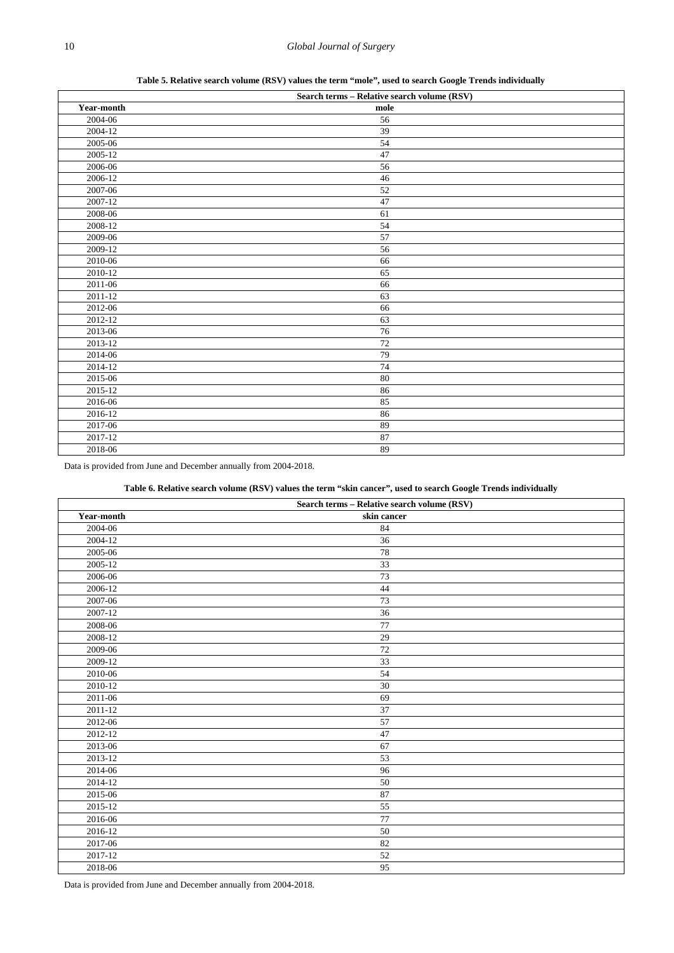**Table 5. Relative search volume (RSV) values the term "mole", used to search Google Trends individually**

<span id="page-9-0"></span>

|                      | Search terms - Relative search volume (RSV) |  |
|----------------------|---------------------------------------------|--|
| Year-month           | mole                                        |  |
| 2004-06              | 56                                          |  |
| $2004 - 12$          | 39                                          |  |
| 2005-06              | 54                                          |  |
| $2005 - 12$          | 47                                          |  |
| 2006-06              | 56                                          |  |
| 2006-12              | 46                                          |  |
| 2007-06              | 52                                          |  |
| $\overline{2007-12}$ | $47\,$                                      |  |
| 2008-06              | 61                                          |  |
| 2008-12              | 54                                          |  |
| 2009-06              | 57                                          |  |
| 2009-12              | 56                                          |  |
| 2010-06              | 66                                          |  |
| 2010-12              | 65                                          |  |
| 2011-06              | 66                                          |  |
| 2011-12              | 63                                          |  |
| 2012-06              | 66                                          |  |
| $2012 - 12$          | 63                                          |  |
| 2013-06              | 76                                          |  |
| 2013-12              | $\overline{72}$                             |  |
| 2014-06              | 79                                          |  |
| 2014-12              | 74                                          |  |
| 2015-06              | 80                                          |  |
| 2015-12              | 86                                          |  |
| 2016-06              | 85                                          |  |
| 2016-12              | 86                                          |  |
| 2017-06              | 89                                          |  |
| 2017-12              | 87                                          |  |
| 2018-06              | 89                                          |  |

Data is provided from June and December annually from 2004-2018.

#### **Table 6. Relative search volume (RSV) values the term "skin cancer", used to search Google Trends individually**

<span id="page-9-1"></span>

|            | Search terms - Relative search volume (RSV) |
|------------|---------------------------------------------|
| Year-month | skin cancer                                 |
| 2004-06    | 84                                          |
| 2004-12    | 36                                          |
| 2005-06    | 78                                          |
| 2005-12    | 33                                          |
| 2006-06    | $\overline{73}$                             |
| 2006-12    | 44                                          |
| 2007-06    | 73                                          |
| 2007-12    | 36                                          |
| 2008-06    | 77                                          |
| 2008-12    | 29                                          |
| 2009-06    | 72                                          |
| 2009-12    | 33                                          |
| 2010-06    | 54                                          |
| 2010-12    | 30                                          |
| 2011-06    | 69                                          |
| 2011-12    | 37                                          |
| 2012-06    | 57                                          |
| 2012-12    | 47                                          |
| 2013-06    | 67                                          |
| 2013-12    | 53                                          |
| 2014-06    | 96                                          |
| 2014-12    | 50                                          |
| 2015-06    | 87                                          |
| 2015-12    | 55                                          |
| 2016-06    | 77                                          |
| 2016-12    | 50                                          |
| 2017-06    | 82                                          |
| 2017-12    | $52\,$                                      |
| 2018-06    | 95                                          |

Data is provided from June and December annually from 2004-2018.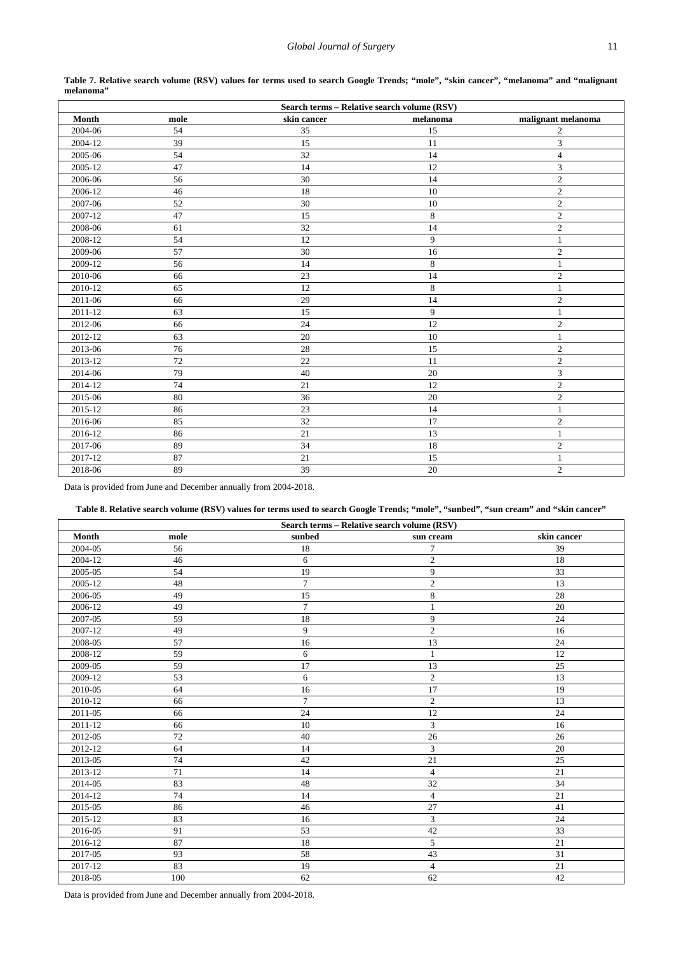<span id="page-10-0"></span>

| Search terms - Relative search volume (RSV) |      |             |          |                    |
|---------------------------------------------|------|-------------|----------|--------------------|
| Month                                       | mole | skin cancer | melanoma | malignant melanoma |
| 2004-06                                     | 54   | 35          | 15       | $\overline{c}$     |
| 2004-12                                     | 39   | 15          | 11       | 3                  |
| 2005-06                                     | 54   | 32          | 14       | $\overline{4}$     |
| 2005-12                                     | 47   | 14          | 12       | $\mathfrak{Z}$     |
| 2006-06                                     | 56   | 30          | 14       | $\overline{2}$     |
| 2006-12                                     | 46   | 18          | 10       | $\overline{2}$     |
| 2007-06                                     | 52   | 30          | 10       | $\overline{2}$     |
| 2007-12                                     | 47   | 15          | $\,8\,$  | $\overline{2}$     |
| 2008-06                                     | 61   | 32          | 14       | $\sqrt{2}$         |
| 2008-12                                     | 54   | 12          | 9        | 1                  |
| 2009-06                                     | 57   | 30          | 16       | $\sqrt{2}$         |
| 2009-12                                     | 56   | 14          | 8        | $\mathbf{1}$       |
| 2010-06                                     | 66   | 23          | 14       | $\sqrt{2}$         |
| 2010-12                                     | 65   | 12          | 8        | $\mathbf{1}$       |
| 2011-06                                     | 66   | 29          | 14       | $\sqrt{2}$         |
| 2011-12                                     | 63   | 15          | 9        | $\mathbf{1}$       |
| 2012-06                                     | 66   | 24          | 12       | $\sqrt{2}$         |
| $2012 - 12$                                 | 63   | 20          | 10       | $\mathbf{1}$       |
| 2013-06                                     | 76   | 28          | 15       | $\boldsymbol{2}$   |
| 2013-12                                     | 72   | 22          | 11       | $\overline{2}$     |
| 2014-06                                     | 79   | 40          | 20       | $\mathfrak{Z}$     |
| 2014-12                                     | 74   | 21          | 12       | $\sqrt{2}$         |
| 2015-06                                     | 80   | 36          | $20\,$   | $\sqrt{2}$         |
| 2015-12                                     | 86   | 23          | 14       | $\mathbf{1}$       |
| 2016-06                                     | 85   | 32          | 17       | $\boldsymbol{2}$   |
| 2016-12                                     | 86   | $21\,$      | 13       | $\mathbf{1}$       |
| 2017-06                                     | 89   | 34          | 18       | $\overline{2}$     |
| 2017-12                                     | 87   | 21          | 15       | $\mathbf{1}$       |
| 2018-06                                     | 89   | 39          | 20       | $\overline{2}$     |

| Table 7. Relative search volume (RSV) values for terms used to search Google Trends; "mole", "skin cancer", "melanoma" and "malignant |  |  |  |  |  |  |  |
|---------------------------------------------------------------------------------------------------------------------------------------|--|--|--|--|--|--|--|
| melanoma"                                                                                                                             |  |  |  |  |  |  |  |

Data is provided from June and December annually from 2004-2018.

### **Table 8. Relative search volume (RSV) values for terms used to search Google Trends; "mole", "sunbed", "sun cream" and "skin cancer"**

<span id="page-10-1"></span>

| Search terms - Relative search volume (RSV) |      |        |                             |                 |
|---------------------------------------------|------|--------|-----------------------------|-----------------|
| Month                                       | mole | sunbed | sun cream                   | skin cancer     |
| 2004-05                                     | 56   | 18     | 7                           | 39              |
| 2004-12                                     | 46   | 6      | $\overline{c}$              | 18              |
| 2005-05                                     | 54   | 19     | 9                           | 33              |
| 2005-12                                     | 48   | $\tau$ | $\mathfrak{2}$              | 13              |
| 2006-05                                     | 49   | 15     | $\,$ 8 $\,$                 | 28              |
| 2006-12                                     | 49   | $\tau$ | $\mathbf{1}$                | 20              |
| 2007-05                                     | 59   | 18     | 9                           | 24              |
| 2007-12                                     | 49   | 9      | $\sqrt{2}$                  | 16              |
| 2008-05                                     | 57   | 16     | 13                          | 24              |
| 2008-12                                     | 59   | 6      | $\mathbf{1}$                | 12              |
| 2009-05                                     | 59   | 17     | 13                          | 25              |
| 2009-12                                     | 53   | 6      | $\sqrt{2}$                  | 13              |
| 2010-05                                     | 64   | 16     | 17                          | 19              |
| 2010-12                                     | 66   | $\tau$ | $\mathfrak{2}$              | 13              |
| 2011-05                                     | 66   | 24     | 12                          | 24              |
| 2011-12                                     | 66   | 10     | 3                           | 16              |
| 2012-05                                     | 72   | 40     | 26                          | 26              |
| 2012-12                                     | 64   | 14     | $\ensuremath{\mathfrak{Z}}$ | 20              |
| 2013-05                                     | 74   | 42     | 21                          | 25              |
| 2013-12                                     | 71   | 14     | $\overline{4}$              | 21              |
| 2014-05                                     | 83   | 48     | 32                          | 34              |
| 2014-12                                     | 74   | 14     | $\overline{4}$              | $\overline{21}$ |
| 2015-05                                     | 86   | 46     | 27                          | 41              |
| 2015-12                                     | 83   | 16     | 3                           | 24              |
| 2016-05                                     | 91   | 53     | 42                          | 33              |
| 2016-12                                     | 87   | 18     | $\overline{5}$              | $\overline{21}$ |
| 2017-05                                     | 93   | 58     | 43                          | 31              |
| 2017-12                                     | 83   | 19     | $\overline{4}$              | 21              |
| 2018-05                                     | 100  | 62     | 62                          | 42              |

Data is provided from June and December annually from 2004-2018.